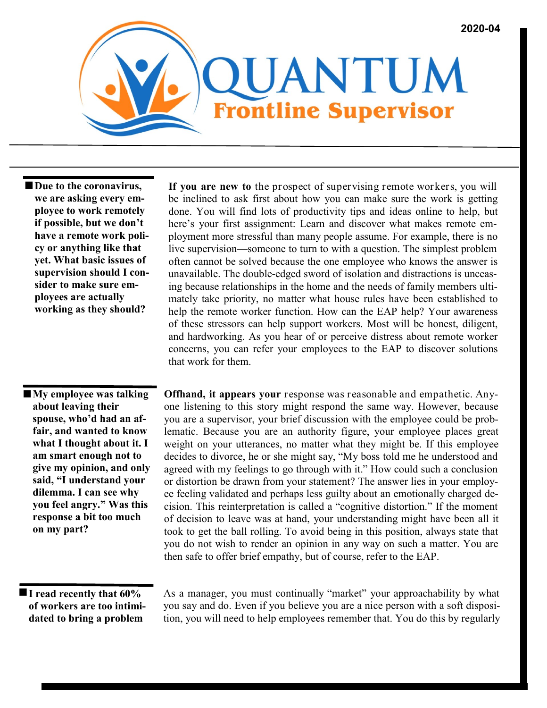

■ Due to the coronavirus, **we are asking every employee to work remotely if possible, but we don't have a remote work policy or anything like that yet. What basic issues of supervision should I consider to make sure employees are actually working as they should?** 

 **My employee was talking about leaving their spouse, who'd had an affair, and wanted to know what I thought about it. I am smart enough not to give my opinion, and only said, "I understand your dilemma. I can see why you feel angry." Was this response a bit too much on my part?**

be inclined to ask first about how you can make sure the work is getting done. You will find lots of productivity tips and ideas online to help, but here's your first assignment: Learn and discover what makes remote employment more stressful than many people assume. For example, there is no live supervision—someone to turn to with a question. The simplest problem often cannot be solved because the one employee who knows the answer is unavailable. The double-edged sword of isolation and distractions is unceasing because relationships in the home and the needs of family members ultimately take priority, no matter what house rules have been established to help the remote worker function. How can the EAP help? Your awareness of these stressors can help support workers. Most will be honest, diligent, and hardworking. As you hear of or perceive distress about remote worker concerns, you can refer your employees to the EAP to discover solutions that work for them.

**If you are new to** the prospect of supervising remote workers, you will

**Offhand, it appears your** response was reasonable and empathetic. Anyone listening to this story might respond the same way. However, because you are a supervisor, your brief discussion with the employee could be problematic. Because you are an authority figure, your employee places great weight on your utterances, no matter what they might be. If this employee decides to divorce, he or she might say, "My boss told me he understood and agreed with my feelings to go through with it." How could such a conclusion or distortion be drawn from your statement? The answer lies in your employee feeling validated and perhaps less guilty about an emotionally charged decision. This reinterpretation is called a "cognitive distortion." If the moment of decision to leave was at hand, your understanding might have been all it took to get the ball rolling. To avoid being in this position, always state that you do not wish to render an opinion in any way on such a matter. You are then safe to offer brief empathy, but of course, refer to the EAP.

**I** read recently that  $60\%$ **of workers are too intimidated to bring a problem** 

As a manager, you must continually "market" your approachability by what you say and do. Even if you believe you are a nice person with a soft disposition, you will need to help employees remember that. You do this by regularly